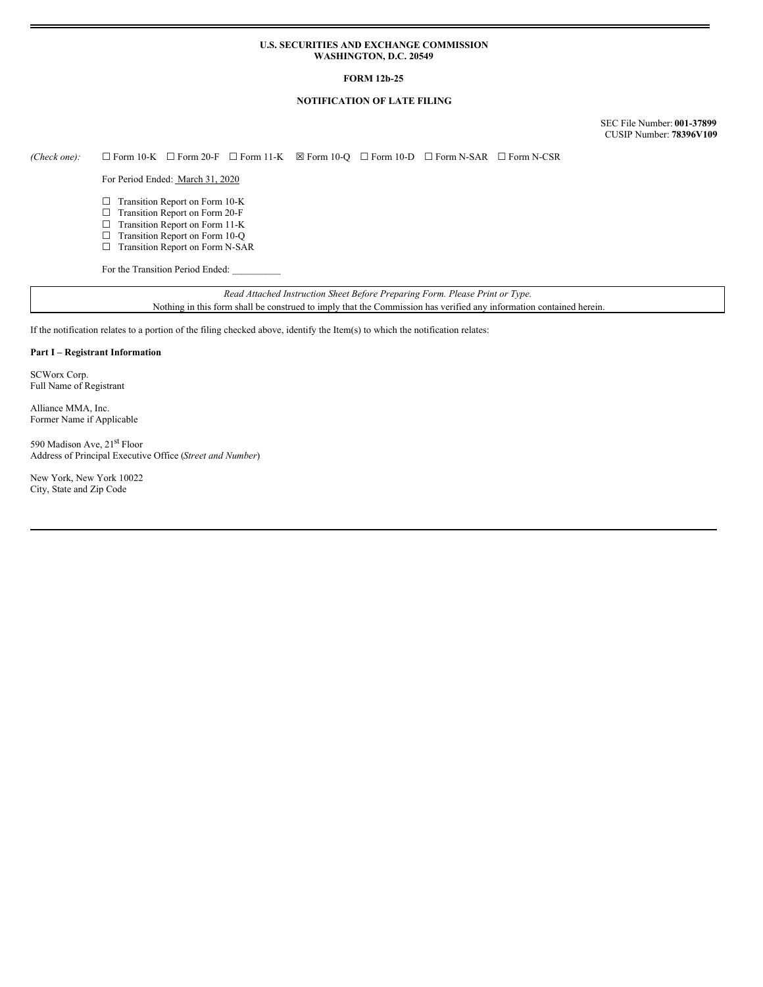#### **U.S. SECURITIES AND EXCHANGE COMMISSION WASHINGTON, D.C. 20549**

# **FORM 12b-25**

# **NOTIFICATION OF LATE FILING**

SEC File Number: **001-37899** CUSIP Number: **78396V109**

*(Check one):* ☐ Form 10-K ☐ Form 20-F ☐ Form 11-K ☒ Form 10-Q ☐ Form 10-D ☐ Form N-SAR ☐ Form N-CSR

For Period Ended: March 31, 2020

- ☐ Transition Report on Form 10-K
- ☐ Transition Report on Form 20-F
- ☐ Transition Report on Form 11-K
- □ Transition Report on Form 10-Q ☐ Transition Report on Form N-SAR

For the Transition Period Ended:

*Read Attached Instruction Sheet Before Preparing Form. Please Print or Type.* Nothing in this form shall be construed to imply that the Commission has verified any information contained herein.

If the notification relates to a portion of the filing checked above, identify the Item(s) to which the notification relates:

## **Part I – Registrant Information**

SCWorx Corp. Full Name of Registrant

Alliance MMA, Inc. Former Name if Applicable

590 Madison Ave, 21<sup>st</sup> Floor Address of Principal Executive Office (*Street and Number*)

New York, New York 10022 City, State and Zip Code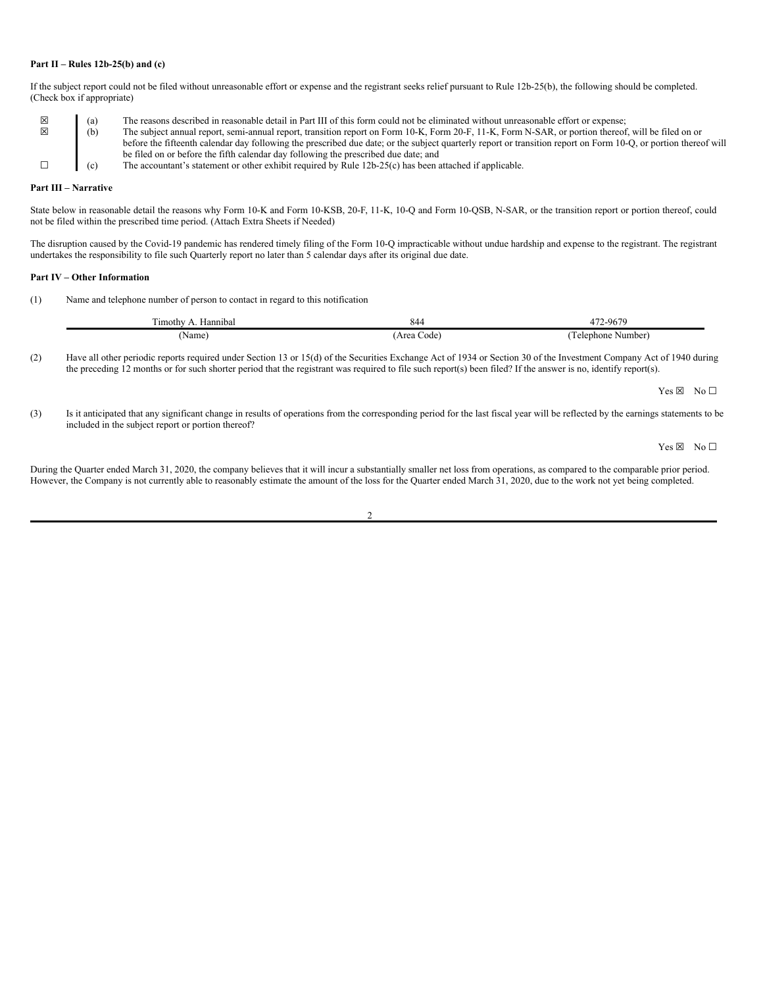#### **Part II – Rules 12b-25(b) and (c)**

If the subject report could not be filed without unreasonable effort or expense and the registrant seeks relief pursuant to Rule 12b-25(b), the following should be completed. (Check box if appropriate)

|   | (a) | The reasons described in reasonable detail in Part III of this form could not be eliminated without unreasonable effort or expense;                             |  |
|---|-----|-----------------------------------------------------------------------------------------------------------------------------------------------------------------|--|
| ⊠ | (b) | The subject annual report, semi-annual report, transition report on Form 10-K, Form 20-F, 11-K, Form N-SAR, or portion thereof, will be filed on or             |  |
|   |     | before the fifteenth calendar day following the prescribed due date; or the subject quarterly report or transition report on Form 10-Q, or portion thereof will |  |
|   |     | be filed on or before the fifth calendar day following the prescribed due date; and                                                                             |  |
|   | (c) | The accountant's statement or other exhibit required by Rule 12b-25(c) has been attached if applicable.                                                         |  |

# **Part III – Narrative**

State below in reasonable detail the reasons why Form 10-K and Form 10-KSB, 20-F, 11-K, 10-Q and Form 10-QSB, N-SAR, or the transition report or portion thereof, could not be filed within the prescribed time period. (Attach Extra Sheets if Needed)

The disruption caused by the Covid-19 pandemic has rendered timely filing of the Form 10-Q impracticable without undue hardship and expense to the registrant. The registrant undertakes the responsibility to file such Quarterly report no later than 5 calendar days after its original due date.

#### **Part IV – Other Information**

(1) Name and telephone number of person to contact in regard to this notification

| $\sim$<br>Hannıbal<br>11mothy | 84                  | $-967c$<br>$-1$<br>. 70     |
|-------------------------------|---------------------|-----------------------------|
| 'Name                         | . Arer<br>code<br>. | . i elephone<br>Number<br>. |

(2) Have all other periodic reports required under Section 13 or 15(d) of the Securities Exchange Act of 1934 or Section 30 of the Investment Company Act of 1940 during the preceding 12 months or for such shorter period that the registrant was required to file such report(s) been filed? If the answer is no, identify report(s).

Yes ⊠ No □

(3) Is it anticipated that any significant change in results of operations from the corresponding period for the last fiscal year will be reflected by the earnings statements to be included in the subject report or portion thereof?

Yes ⊠ No □

During the Quarter ended March 31, 2020, the company believes that it will incur a substantially smaller net loss from operations, as compared to the comparable prior period. However, the Company is not currently able to reasonably estimate the amount of the loss for the Quarter ended March 31, 2020, due to the work not yet being completed.

 $\overline{2}$